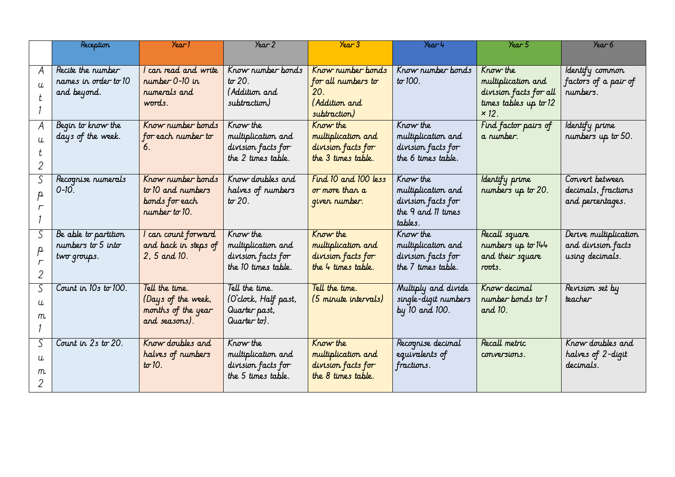|    | <b>Reception</b>     | Year1                                | Year 2                                   | $\sqrt{2}$                               | Year 4                                   | Year 5                                | Year 6                                |
|----|----------------------|--------------------------------------|------------------------------------------|------------------------------------------|------------------------------------------|---------------------------------------|---------------------------------------|
|    |                      |                                      |                                          |                                          |                                          |                                       |                                       |
| A  | Recite the number    | car read and write                   | Know number bonds                        | Know number bonds                        | Know number bonds                        | Know the                              | Identify common                       |
|    | names in order to 10 | number 0-10 in                       | $t\sigma$ 20.                            | for all numbers to                       | $t\sigma$ 100.                           | multiplication and                    | factors of a pair of                  |
|    | and beyond.          | rumerals and                         | (Addition and                            | 20.                                      |                                          | division facts for all                | rumbers.                              |
|    |                      | words.                               | subtraction)                             | (Addition and                            |                                          | times tables up to $12$               |                                       |
|    |                      |                                      |                                          | subtraction)                             |                                          | $\times$ 12.                          |                                       |
| A  | Begin to know the    | Know number bonds                    | Krow the                                 | Know the                                 | Know the                                 | Find factor pairs of                  | Identify prime                        |
|    | days of the week.    | for each number to<br>6.             | multiplication and                       | multiplication and                       | multiplication and                       | a rumber.                             | numbers up to 50.                     |
|    |                      |                                      | division facts for<br>the 2 times table. | division facts for<br>the 3 times table. | division facts for<br>the 6 times table. |                                       |                                       |
|    |                      |                                      |                                          |                                          |                                          |                                       |                                       |
| S  | Recognise numerals   | Know number bonds                    | Krow doubles and                         | Find 10 and 100 less                     | Krow the                                 | Identify prime                        | Convert between                       |
| p. | 0-10.                | to 10 and numbers                    | halves of numbers                        | or more than a                           | multiplication and                       | numbers up to 20.                     | decimals, fractions                   |
|    |                      | bonds for each                       | $t\sigma$ 20.                            | given number.                            | division facts for                       |                                       | and percentages.                      |
|    |                      | $number$ to 10.                      |                                          |                                          | the 9 and 11 times                       |                                       |                                       |
|    |                      |                                      |                                          |                                          | tables.                                  |                                       |                                       |
| S  | Be able to partition | l can count forward                  | Know the                                 | Know the                                 | Know the                                 | Recall square                         | Derive multiplication                 |
|    | numbers to $5$ into  | and back in steps of<br>2, 5 and 10. | multiplication and<br>division facts for | multiplication and<br>division facts for | multiplication and<br>division facts for | numbers up to 144<br>and their square | and division facts<br>using decimals. |
|    | two groups.          |                                      | the 10 times table.                      | the 4 times table.                       | the 7 times table.                       | roots.                                |                                       |
| 2  |                      |                                      |                                          |                                          |                                          |                                       |                                       |
| S  | Count in 10s to 100. | Tell the time.                       | Tell the time.                           | Tell the time.                           | Multiply and divide                      | Know decimal                          | Revision set by                       |
| u  |                      | (Days of the week,                   | (O'clock, Half past,                     | (5 minute intervals)                     | single-digit numbers                     | number bonds to 1                     | teacher                               |
| m  |                      | months of the year                   | Quarter past,                            |                                          | by 10 and 100.                           | and 10.                               |                                       |
|    |                      | and seasons).                        | Quarter to).                             |                                          |                                          |                                       |                                       |
| S  | Count in 2s to 20.   | Know doubles and                     | Know the                                 | Know the                                 | Recognise decimal                        | Recall metric                         | Krow doubles and                      |
|    |                      | halves of numbers                    | multiplication and                       | multiplication and                       | equivalents of                           | conversions.                          | halves of 2-digit                     |
| U  |                      | $t\sigma$ 10.                        | division facts for                       | division facts for                       | fractions.                               |                                       | decimals.                             |
| m  |                      |                                      | the 5 times table.                       | the 8 times table.                       |                                          |                                       |                                       |
|    |                      |                                      |                                          |                                          |                                          |                                       |                                       |